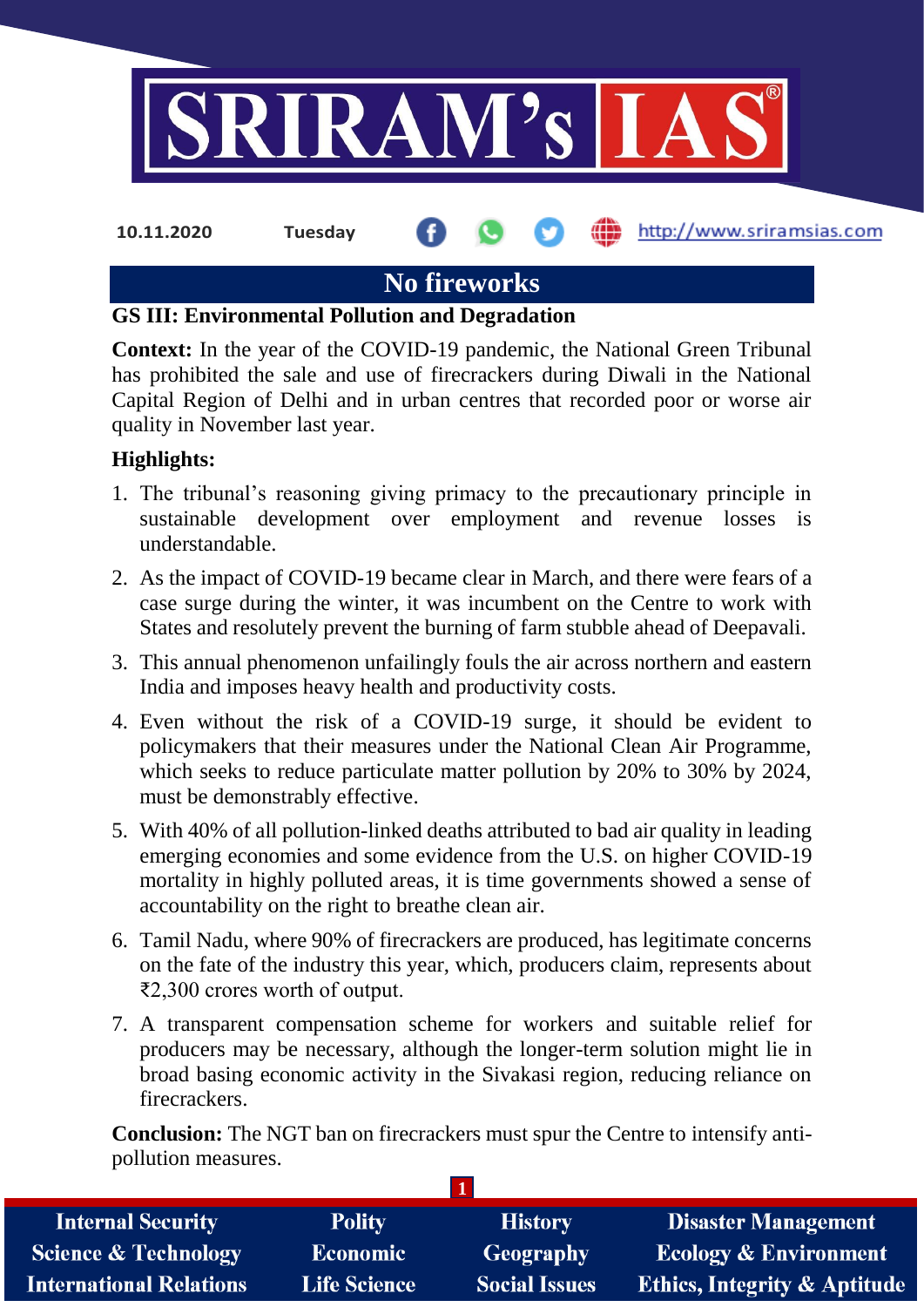

# **No fireworks**

### **GS III: Environmental Pollution and Degradation**

**Context:** In the year of the COVID-19 pandemic, the National Green Tribunal has prohibited the sale and use of firecrackers during Diwali in the National Capital Region of Delhi and in urban centres that recorded poor or worse air quality in November last year.

### **Highlights:**

- 1. The tribunal's reasoning giving primacy to the precautionary principle in sustainable development over employment and revenue losses is understandable.
- 2. As the impact of COVID-19 became clear in March, and there were fears of a case surge during the winter, it was incumbent on the Centre to work with States and resolutely prevent the burning of farm stubble ahead of Deepavali.
- 3. This annual phenomenon unfailingly fouls the air across northern and eastern India and imposes heavy health and productivity costs.
- 4. Even without the risk of a COVID-19 surge, it should be evident to policymakers that their measures under the National Clean Air Programme, which seeks to reduce particulate matter pollution by 20% to 30% by 2024, must be demonstrably effective.
- 5. With 40% of all pollution-linked deaths attributed to bad air quality in leading emerging economies and some evidence from the U.S. on higher COVID-19 mortality in highly polluted areas, it is time governments showed a sense of accountability on the right to breathe clean air.
- 6. Tamil Nadu, where 90% of firecrackers are produced, has legitimate concerns on the fate of the industry this year, which, producers claim, represents about ₹2,300 crores worth of output.
- 7. A transparent compensation scheme for workers and suitable relief for producers may be necessary, although the longer-term solution might lie in broad basing economic activity in the Sivakasi region, reducing reliance on firecrackers.

**Conclusion:** The NGT ban on firecrackers must spur the Centre to intensify antipollution measures.

**1**

| <b>Internal Security</b>        | <b>Polity</b>       | <b>History</b>       | <b>Disaster Management</b>              |
|---------------------------------|---------------------|----------------------|-----------------------------------------|
| <b>Science &amp; Technology</b> | <b>Economic</b>     | Geography            | <b>Ecology &amp; Environment</b>        |
| <b>International Relations</b>  | <b>Life Science</b> | <b>Social Issues</b> | <b>Ethics, Integrity &amp; Aptitude</b> |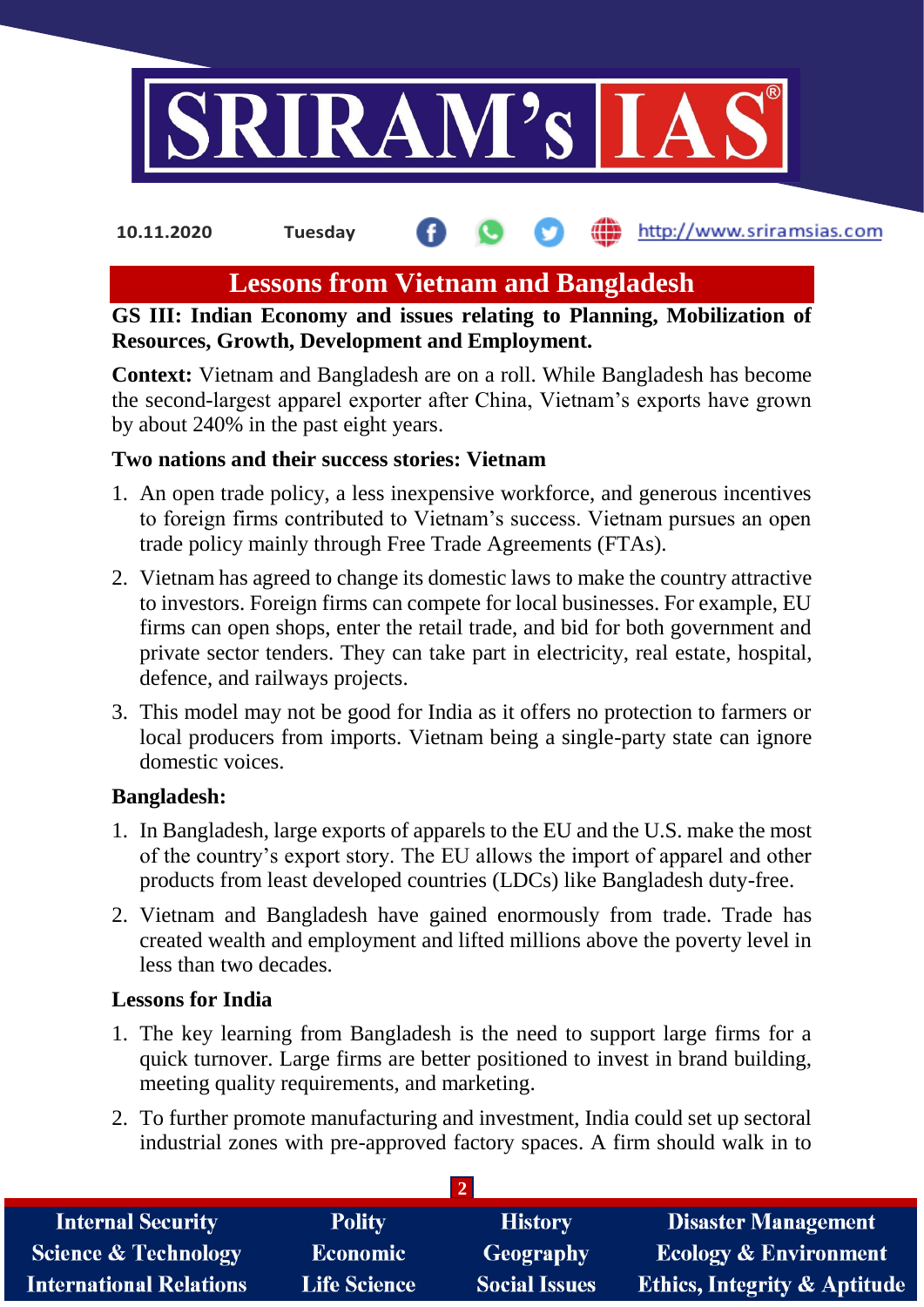

#### http://www.sriramsias.com **10.11.2020 Tuesday**

## **Lessons from Vietnam and Bangladesh**

**GS III: Indian Economy and issues relating to Planning, Mobilization of Resources, Growth, Development and Employment.**

**Context:** Vietnam and Bangladesh are on a roll. While Bangladesh has become the second-largest apparel exporter after China, Vietnam's exports have grown by about 240% in the past eight years.

### **Two nations and their success stories: Vietnam**

- 1. An open trade policy, a less inexpensive workforce, and generous incentives to foreign firms contributed to Vietnam's success. Vietnam pursues an open trade policy mainly through Free Trade Agreements (FTAs).
- 2. Vietnam has agreed to change its domestic laws to make the country attractive to investors. Foreign firms can compete for local businesses. For example, EU firms can open shops, enter the retail trade, and bid for both government and private sector tenders. They can take part in electricity, real estate, hospital, defence, and railways projects.
- 3. This model may not be good for India as it offers no protection to farmers or local producers from imports. Vietnam being a single-party state can ignore domestic voices.

### **Bangladesh:**

- 1. In Bangladesh, large exports of apparels to the EU and the U.S. make the most of the country's export story. The EU allows the import of apparel and other products from least developed countries (LDCs) like Bangladesh duty-free.
- 2. Vietnam and Bangladesh have gained enormously from trade. Trade has created wealth and employment and lifted millions above the poverty level in less than two decades.

## **Lessons for India**

- 1. The key learning from Bangladesh is the need to support large firms for a quick turnover. Large firms are better positioned to invest in brand building, meeting quality requirements, and marketing.
- 2. To further promote manufacturing and investment, India could set up sectoral industrial zones with pre-approved factory spaces. A firm should walk in to

| <b>Internal Security</b>        | <b>Polity</b>       | <b>History</b>       | <b>Disaster Management</b>              |
|---------------------------------|---------------------|----------------------|-----------------------------------------|
| <b>Science &amp; Technology</b> | <b>Economic</b>     | Geography            | <b>Ecology &amp; Environment</b>        |
| International Relations         | <b>Life Science</b> | <b>Social Issues</b> | <b>Ethics, Integrity &amp; Aptitude</b> |